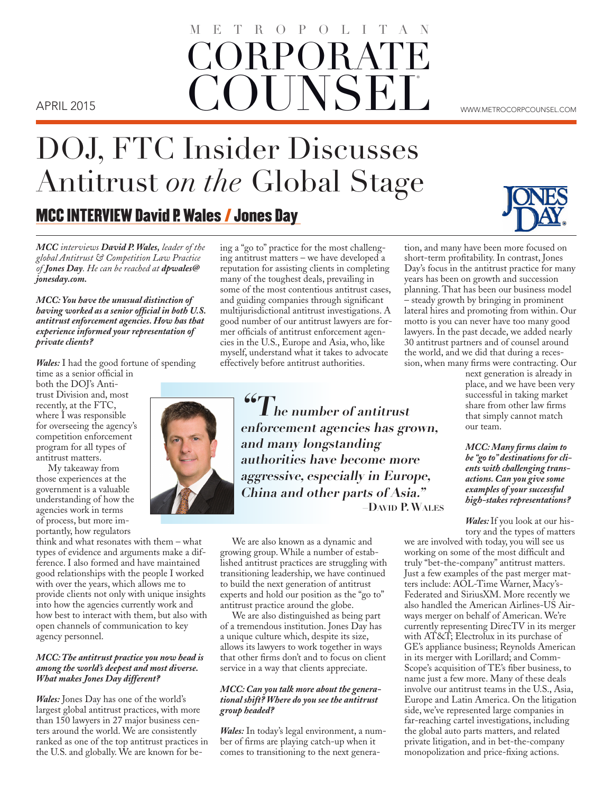# ORPORAT **COUNSEL** METROPOLITAN APRIL 2015 **WALLARED AND LATELY WE** ARRIL 2015

DOJ, FTC Insider Discusses Antitrust *on the* Global Stage

MCC INTERVIEW David P. Wales / Jones Day

*MCC interviews David P. Wales, leader of the global Antitrust & Competition Law Practice of Jones Day. He can be reached at dpwales@ jonesday.com.*

*MCC: You have the unusual distinction of having worked as a senior official in both U.S. antitrust enforcement agencies. How has that experience informed your representation of private clients?*

*Wales:* I had the good fortune of spending

time as a senior official in both the DOJ's Antitrust Division and, most recently, at the FTC, where I was responsible for overseeing the agency's competition enforcement program for all types of antitrust matters.

My takeaway from those experiences at the government is a valuable understanding of how the agencies work in terms of process, but more importantly, how regulators

think and what resonates with them – what types of evidence and arguments make a difference. I also formed and have maintained good relationships with the people I worked with over the years, which allows me to provide clients not only with unique insights into how the agencies currently work and how best to interact with them, but also with open channels of communication to key agency personnel.

#### *MCC: The antitrust practice you now head is among the world's deepest and most diverse. What makes Jones Day different?*

*Wales:* Jones Day has one of the world's largest global antitrust practices, with more than 150 lawyers in 27 major business centers around the world. We are consistently ranked as one of the top antitrust practices in the U.S. and globally. We are known for being a "go to" practice for the most challenging antitrust matters – we have developed a reputation for assisting clients in completing many of the toughest deals, prevailing in some of the most contentious antitrust cases, and guiding companies through significant multijurisdictional antitrust investigations. A good number of our antitrust lawyers are former officials of antitrust enforcement agencies in the U.S., Europe and Asia, who, like myself, understand what it takes to advocate effectively before antitrust authorities.

**"The number of antitrust enforcement agencies has grown, and many longstanding authorities have become more aggressive, especially in Europe, China and other parts of Asia." –David P. Wales**

We are also known as a dynamic and growing group. While a number of established antitrust practices are struggling with transitioning leadership, we have continued to build the next generation of antitrust experts and hold our position as the "go to" antitrust practice around the globe.

We are also distinguished as being part of a tremendous institution. Jones Day has a unique culture which, despite its size, allows its lawyers to work together in ways that other firms don't and to focus on client service in a way that clients appreciate.

#### *MCC: Can you talk more about the generational shift? Where do you see the antitrust group headed?*

*Wales:* In today's legal environment, a number of firms are playing catch-up when it comes to transitioning to the next generation, and many have been more focused on short-term profitability. In contrast, Jones Day's focus in the antitrust practice for many years has been on growth and succession planning. That has been our business model – steady growth by bringing in prominent lateral hires and promoting from within. Our motto is you can never have too many good lawyers. In the past decade, we added nearly 30 antitrust partners and of counsel around the world, and we did that during a recession, when many firms were contracting. Our

next generation is already in place, and we have been very successful in taking market share from other law firms that simply cannot match our team.

*MCC: Many firms claim to be "go to" destinations for clients with challenging transactions. Can you give some examples of your successful high-stakes representations?* 

*Wales:* If you look at our history and the types of matters

we are involved with today, you will see us working on some of the most difficult and truly "bet-the-company" antitrust matters. Just a few examples of the past merger matters include: AOL-Time Warner, Macy's-Federated and SiriusXM. More recently we also handled the American Airlines-US Airways merger on behalf of American. We're currently representing DirecTV in its merger with AT&T; Electrolux in its purchase of GE's appliance business; Reynolds American in its merger with Lorillard; and Comm-Scope's acquisition of TE's fiber business, to name just a few more. Many of these deals involve our antitrust teams in the U.S., Asia, Europe and Latin America. On the litigation side, we've represented large companies in far-reaching cartel investigations, including the global auto parts matters, and related private litigation, and in bet-the-company monopolization and price-fixing actions.